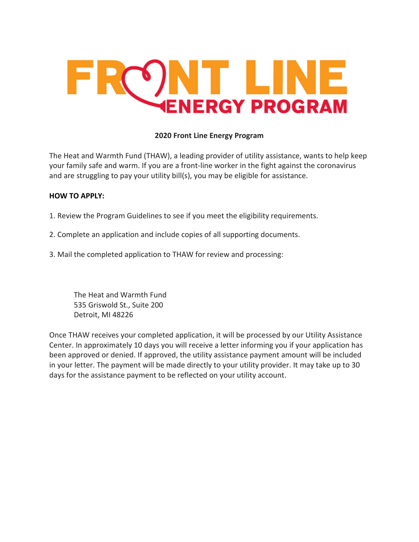# **SNT LINE ENERGY PROGRAM**

# **2020 Front Line Energy Program**

The Heat and Warmth Fund (THAW), a leading provider of utility assistance, wants to help keep your family safe and warm. If you are a front-line worker in the fight against the coronavirus and are struggling to pay your utility bill(s), you may be eligible for assistance.

#### **HOW TO APPLY:**

1. Review the Program Guidelines to see if you meet the eligibility requirements.

- 2. Complete an application and include copies of all supporting documents.
- 3. Mail the completed application to THAW for review and processing:

The Heat and Warmth Fund 535 Griswold St., Suite 200 Detroit, MI 48226

Once THAW receives your completed application, it will be processed by our Utility Assistance Center. In approximately 10 days you will receive a letter informing you if your application has been approved or denied. If approved, the utility assistance payment amount will be included in your letter. The payment will be made directly to your utility provider. It may take up to 30 days for the assistance payment to be reflected on your utility account.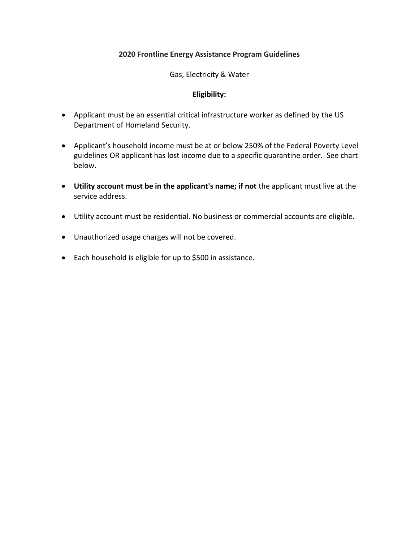## **2020 Frontline Energy Assistance Program Guidelines**

#### Gas, Electricity & Water

#### **Eligibility:**

- Applicant must be an essential critical infrastructure worker as defined by the US Department of Homeland Security.
- Applicant's household income must be at or below 250% of the Federal Poverty Level guidelines OR applicant has lost income due to a specific quarantine order. See chart below.
- **Utility account must be in the applicant's name; if not** the applicant must live at the service address.
- Utility account must be residential. No business or commercial accounts are eligible.
- Unauthorized usage charges will not be covered.
- Each household is eligible for up to \$500 in assistance.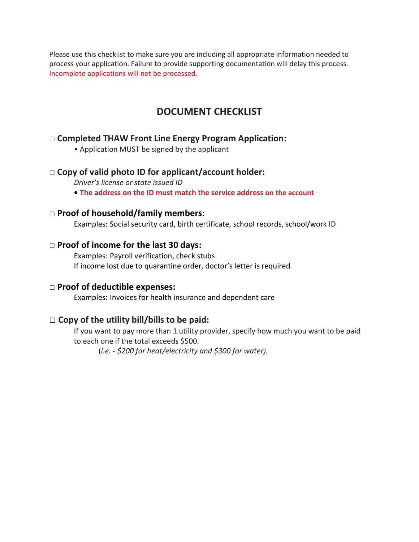Please use this checklist to make sure you are including all appropriate information needed to process your application. Failure to provide supporting documentation will delay this process. Incomplete applications will not be processed.

# **DOCUMENT CHECKLIST**

# **□ Completed THAW Front Line Energy Program Application:**

• Application MUST be signed by the applicant

# **□ Copy of valid photo ID for applicant/account holder:**

*Driver's license or state issued ID*

**• The address on the ID must match the service address on the account**

#### □ **Proof of household/family members:**

Examples: Social security card, birth certificate, school records, school/work ID

#### □ **Proof of income for the last 30 days:**

Examples: Payroll verification, check stubs If income lost due to quarantine order, doctor's letter is required

# □ **Proof of deductible expenses:**

Examples: Invoices for health insurance and dependent care

# **□ Copy of the utility bill/bills to be paid:**

If you want to pay more than 1 utility provider, specify how much you want to be paid to each one if the total exceeds \$500.

(*i.e. - \$200 for heat/electricity and \$300 for water).*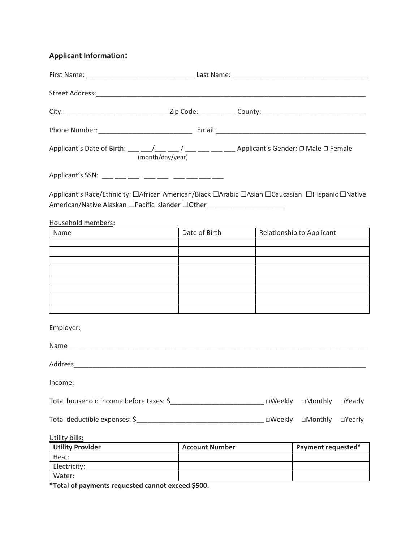# **Applicant Information:**

| City:___________________________________Zip Code:_____________County:______________________________                                                                                 |                                                                                                                     |                           |               |
|-------------------------------------------------------------------------------------------------------------------------------------------------------------------------------------|---------------------------------------------------------------------------------------------------------------------|---------------------------|---------------|
|                                                                                                                                                                                     |                                                                                                                     |                           |               |
|                                                                                                                                                                                     |                                                                                                                     |                           |               |
| Applicant's SSN: ___ ___ ___ ___ ___ ___ ___ ___                                                                                                                                    |                                                                                                                     |                           |               |
| Applicant's Race/Ethnicity: □African American/Black □Arabic □Asian □Caucasian □Hispanic □Native<br>American/Native Alaskan □Pacific Islander □Other________________________________ |                                                                                                                     |                           |               |
| Household members:<br><u> 1989 - Andrea Station Barbara, amerikan per</u><br>Name                                                                                                   | Date of Birth                                                                                                       | Relationship to Applicant |               |
|                                                                                                                                                                                     | <u> 1990 - Johann John Store, markin samti samti samti samti samti samti samti samti samti samti samti samti sa</u> |                           |               |
|                                                                                                                                                                                     |                                                                                                                     |                           |               |
|                                                                                                                                                                                     |                                                                                                                     |                           |               |
|                                                                                                                                                                                     |                                                                                                                     |                           |               |
|                                                                                                                                                                                     |                                                                                                                     |                           |               |
|                                                                                                                                                                                     |                                                                                                                     |                           |               |
|                                                                                                                                                                                     |                                                                                                                     |                           |               |
| Employer:                                                                                                                                                                           |                                                                                                                     |                           |               |
|                                                                                                                                                                                     |                                                                                                                     |                           |               |
|                                                                                                                                                                                     |                                                                                                                     |                           |               |
| Income:                                                                                                                                                                             |                                                                                                                     |                           |               |
| Total household income before taxes: \$_________________________________ □Weekly  □Monthly  □Yearly                                                                                 |                                                                                                                     |                           |               |
|                                                                                                                                                                                     |                                                                                                                     | $\square$ Monthly         | $\Box$ Yearly |
| Utility bills:                                                                                                                                                                      |                                                                                                                     |                           |               |
| <b>Utility Provider</b>                                                                                                                                                             | <b>Account Number</b>                                                                                               | Payment requested*        |               |
| Heat:                                                                                                                                                                               |                                                                                                                     |                           |               |
| Electricity:                                                                                                                                                                        |                                                                                                                     |                           |               |
| Water:                                                                                                                                                                              |                                                                                                                     |                           |               |

**\*Total of payments requested cannot exceed \$500.**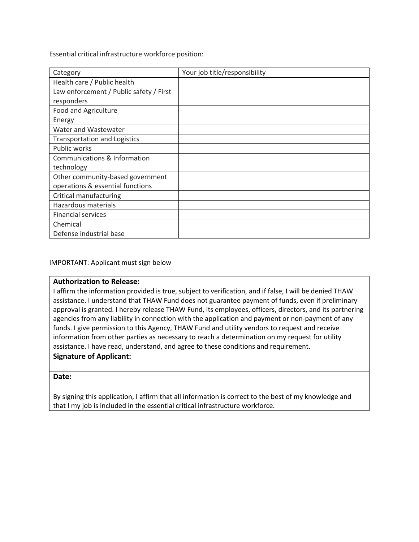Essential critical infrastructure workforce position:

| Category                                | Your job title/responsibility |
|-----------------------------------------|-------------------------------|
| Health care / Public health             |                               |
| Law enforcement / Public safety / First |                               |
| responders                              |                               |
| Food and Agriculture                    |                               |
| Energy                                  |                               |
| Water and Wastewater                    |                               |
| <b>Transportation and Logistics</b>     |                               |
| Public works                            |                               |
| Communications & Information            |                               |
| technology                              |                               |
| Other community-based government        |                               |
| operations & essential functions        |                               |
| Critical manufacturing                  |                               |
| Hazardous materials                     |                               |
| <b>Financial services</b>               |                               |
| Chemical                                |                               |
| Defense industrial base                 |                               |

#### IMPORTANT: Applicant must sign below

#### **Authorization to Release:**

I affirm the information provided is true, subject to verification, and if false, I will be denied THAW assistance. I understand that THAW Fund does not guarantee payment of funds, even if preliminary approval is granted. I hereby release THAW Fund, its employees, officers, directors, and its partnering agencies from any liability in connection with the application and payment or non-payment of any funds. I give permission to this Agency, THAW Fund and utility vendors to request and receive information from other parties as necessary to reach a determination on my request for utility assistance. I have read, understand, and agree to these conditions and requirement.

#### **Signature of Applicant:**

#### **Date:**

By signing this application, I affirm that all information is correct to the best of my knowledge and that I my job is included in the essential critical infrastructure workforce.